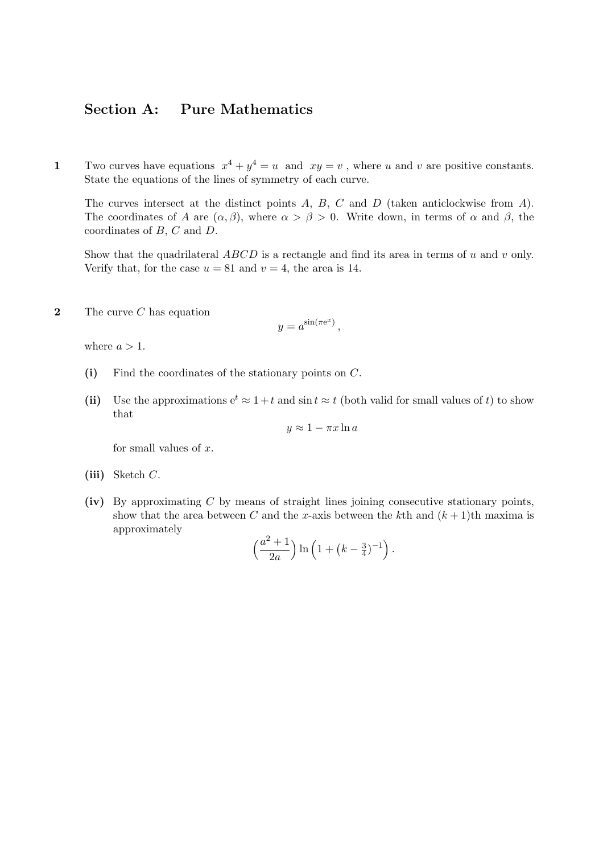## Section A: Pure Mathematics

1 Two curves have equations  $x^4 + y^4 = u$  and  $xy = v$ , where u and v are positive constants. State the equations of the lines of symmetry of each curve.

The curves intersect at the distinct points  $A, B, C$  and  $D$  (taken anticlockwise from  $A$ ). The coordinates of A are  $(\alpha, \beta)$ , where  $\alpha > \beta > 0$ . Write down, in terms of  $\alpha$  and  $\beta$ , the coordinates of B, C and D.

Show that the quadrilateral  $ABCD$  is a rectangle and find its area in terms of u and v only. Verify that, for the case  $u = 81$  and  $v = 4$ , the area is 14.

**2** The curve  $C$  has equation

$$
y = a^{\sin(\pi e^x)},
$$

where  $a > 1$ .

- (i) Find the coordinates of the stationary points on C.
- (ii) Use the approximations  $e^t \approx 1 + t$  and  $\sin t \approx t$  (both valid for small values of t) to show that

$$
y \approx 1 - \pi x \ln a
$$

for small values of  $x$ .

- (iii) Sketch  $C$ .
- (iv) By approximating  $C$  by means of straight lines joining consecutive stationary points, show that the area between C and the x-axis between the kth and  $(k+1)$ th maxima is approximately

$$
\left(\frac{a^2+1}{2a}\right) \ln \left(1 + \left(k - \frac{3}{4}\right)^{-1}\right).
$$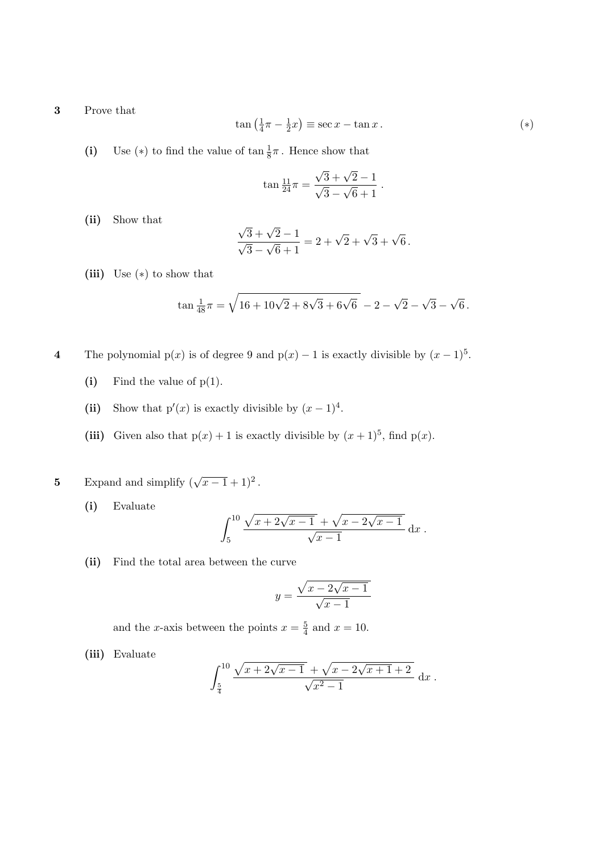3 Prove that

$$
\tan\left(\frac{1}{4}\pi - \frac{1}{2}x\right) \equiv \sec x - \tan x. \tag{*}
$$

(i) Use (\*) to find the value of  $\tan \frac{1}{8}\pi$ . Hence show that

$$
\tan \frac{11}{24}\pi = \frac{\sqrt{3} + \sqrt{2} - 1}{\sqrt{3} - \sqrt{6} + 1}.
$$

(ii) Show that

$$
\frac{\sqrt{3} + \sqrt{2} - 1}{\sqrt{3} - \sqrt{6} + 1} = 2 + \sqrt{2} + \sqrt{3} + \sqrt{6}.
$$

(iii) Use  $(*)$  to show that

$$
\tan \frac{1}{48}\pi = \sqrt{16 + 10\sqrt{2} + 8\sqrt{3} + 6\sqrt{6}} - 2 - \sqrt{2} - \sqrt{3} - \sqrt{6}.
$$

4 The polynomial p(x) is of degree 9 and  $p(x) - 1$  is exactly divisible by  $(x - 1)^5$ .

- (i) Find the value of  $p(1)$ .
- (ii) Show that  $p'(x)$  is exactly divisible by  $(x-1)^4$ .
- (iii) Given also that  $p(x) + 1$  is exactly divisible by  $(x + 1)^5$ , find  $p(x)$ .

5 Expand and simplify  $(\sqrt{x-1}+1)^2$ .

(i) Evaluate

$$
\int_{5}^{10} \frac{\sqrt{x+2\sqrt{x-1}} + \sqrt{x-2\sqrt{x-1}}}{\sqrt{x-1}} dx.
$$

(ii) Find the total area between the curve

$$
y = \frac{\sqrt{x - 2\sqrt{x - 1}}}{\sqrt{x - 1}}
$$

and the x-axis between the points  $x=\frac{5}{4}$  $\frac{5}{4}$  and  $x = 10$ .

(iii) Evaluate

$$
\int_{\frac{5}{4}}^{10} \frac{\sqrt{x+2\sqrt{x-1}} + \sqrt{x-2\sqrt{x+1}+2}}{\sqrt{x^2-1}} dx.
$$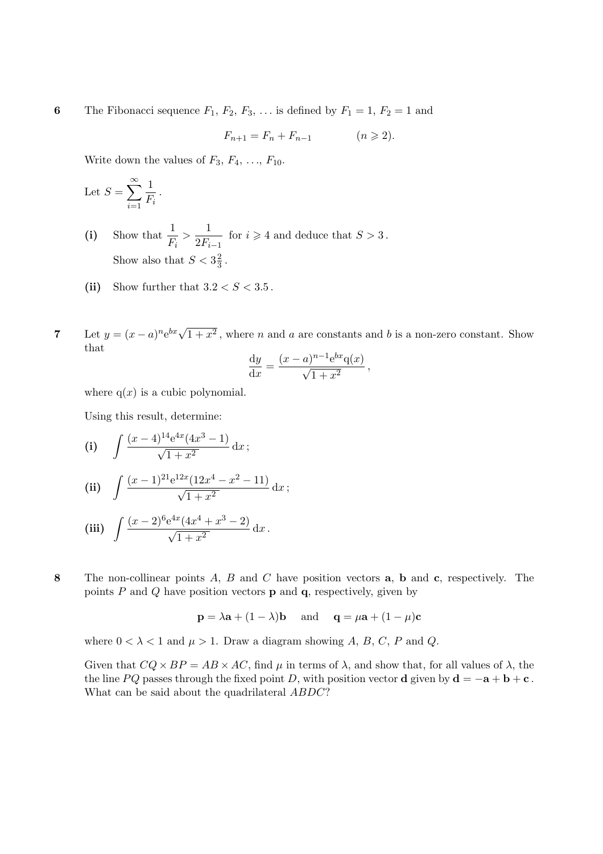6 The Fibonacci sequence  $F_1, F_2, F_3, \ldots$  is defined by  $F_1 = 1, F_2 = 1$  and

$$
F_{n+1} = F_n + F_{n-1} \qquad (n \geqslant 2).
$$

Write down the values of  $F_3, F_4, \ldots, F_{10}$ .

Let 
$$
S = \sum_{i=1}^{\infty} \frac{1}{F_i}
$$
.

- (i) Show that  $\frac{1}{1}$  $\frac{1}{F_i} > \frac{1}{2F_i}$  $\frac{1}{2F_{i-1}}$  for  $i \geqslant 4$  and deduce that  $S > 3$ . Show also that  $S < 3\frac{2}{3}$  $\frac{2}{3}$  .
- (ii) Show further that  $3.2 < S < 3.5$ .
- 7 Let  $y = (x a)^n e^{bx} \sqrt{1 + x^2}$ , where *n* and *a* are constants and *b* is a non-zero constant. Show that

$$
\frac{\mathrm{d}y}{\mathrm{d}x} = \frac{(x-a)^{n-1}e^{bx}\mathbf{q}(x)}{\sqrt{1+x^2}},
$$

where  $q(x)$  is a cubic polynomial.

Using this result, determine:

(i) 
$$
\int \frac{(x-4)^{14}e^{4x}(4x^3-1)}{\sqrt{1+x^2}} dx;
$$

(ii) 
$$
\int \frac{(x-1)^{21}e^{12x}(12x^4-x^2-11)}{\sqrt{1+x^2}} dx;
$$

(iii) 
$$
\int \frac{(x-2)^6 e^{4x}(4x^4+x^3-2)}{\sqrt{1+x^2}} dx.
$$

8 The non-collinear points A, B and C have position vectors **a**, **b** and **c**, respectively. The points  $P$  and  $Q$  have position vectors  $p$  and  $q$ , respectively, given by

$$
\mathbf{p} = \lambda \mathbf{a} + (1 - \lambda) \mathbf{b}
$$
 and  $\mathbf{q} = \mu \mathbf{a} + (1 - \mu) \mathbf{c}$ 

where  $0 < \lambda < 1$  and  $\mu > 1$ . Draw a diagram showing A, B, C, P and Q.

Given that  $CQ \times BP = AB \times AC$ , find  $\mu$  in terms of  $\lambda$ , and show that, for all values of  $\lambda$ , the the line PQ passes through the fixed point D, with position vector **d** given by  $\mathbf{d} = -\mathbf{a} + \mathbf{b} + \mathbf{c}$ . What can be said about the quadrilateral ABDC?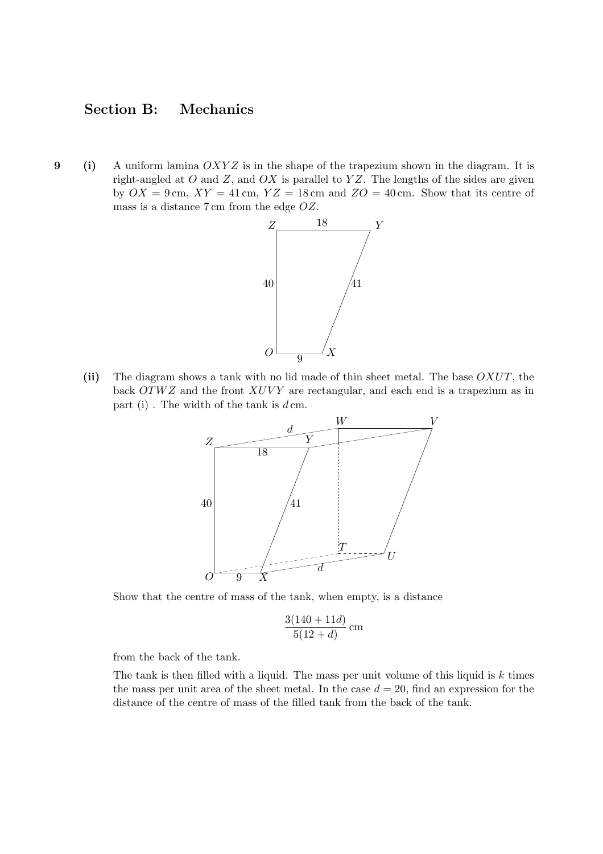## Section B: Mechanics

9 (i) A uniform lamina  $OXYZ$  is in the shape of the trapezium shown in the diagram. It is right-angled at  $O$  and  $Z$ , and  $OX$  is parallel to  $YZ$ . The lengths of the sides are given by  $OX = 9$  cm,  $XY = 41$  cm,  $YZ = 18$  cm and  $ZO = 40$  cm. Show that its centre of mass is a distance 7 cm from the edge OZ.



(ii) The diagram shows a tank with no lid made of thin sheet metal. The base OXUT, the back  $OTWZ$  and the front  $XUVY$  are rectangular, and each end is a trapezium as in part (i). The width of the tank is  $d \, \text{cm}$ .



Show that the centre of mass of the tank, when empty, is a distance

$$
\frac{3(140+11d)}{5(12+d)} \text{ cm}
$$

from the back of the tank.

The tank is then filled with a liquid. The mass per unit volume of this liquid is  $k$  times the mass per unit area of the sheet metal. In the case  $d = 20$ , find an expression for the distance of the centre of mass of the filled tank from the back of the tank.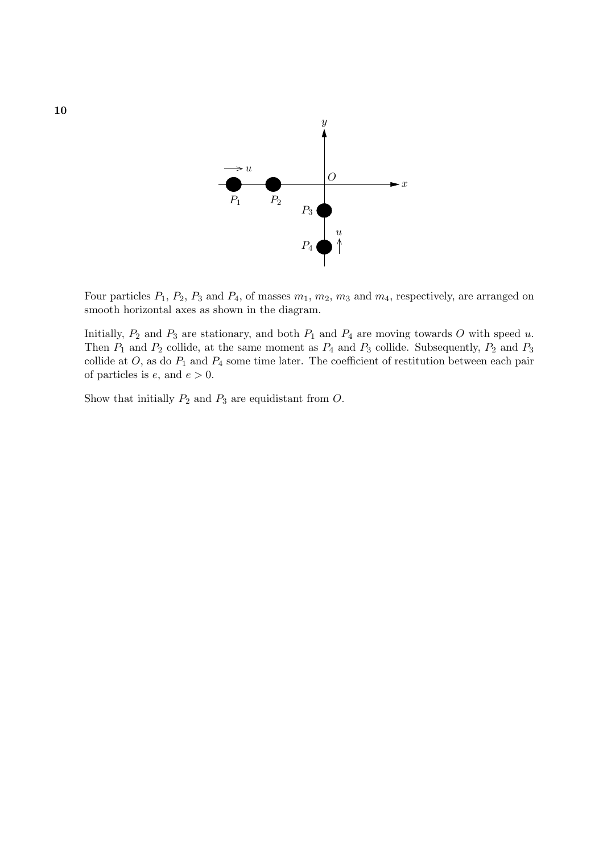

Four particles  $P_1$ ,  $P_2$ ,  $P_3$  and  $P_4$ , of masses  $m_1$ ,  $m_2$ ,  $m_3$  and  $m_4$ , respectively, are arranged on smooth horizontal axes as shown in the diagram.

Initially,  $P_2$  and  $P_3$  are stationary, and both  $P_1$  and  $P_4$  are moving towards O with speed u. Then  $P_1$  and  $P_2$  collide, at the same moment as  $P_4$  and  $P_3$  collide. Subsequently,  $P_2$  and  $P_3$ collide at  $O$ , as do  $P_1$  and  $P_4$  some time later. The coefficient of restitution between each pair of particles is  $e$ , and  $e > 0$ .

Show that initially  $P_2$  and  $P_3$  are equidistant from  $O$ .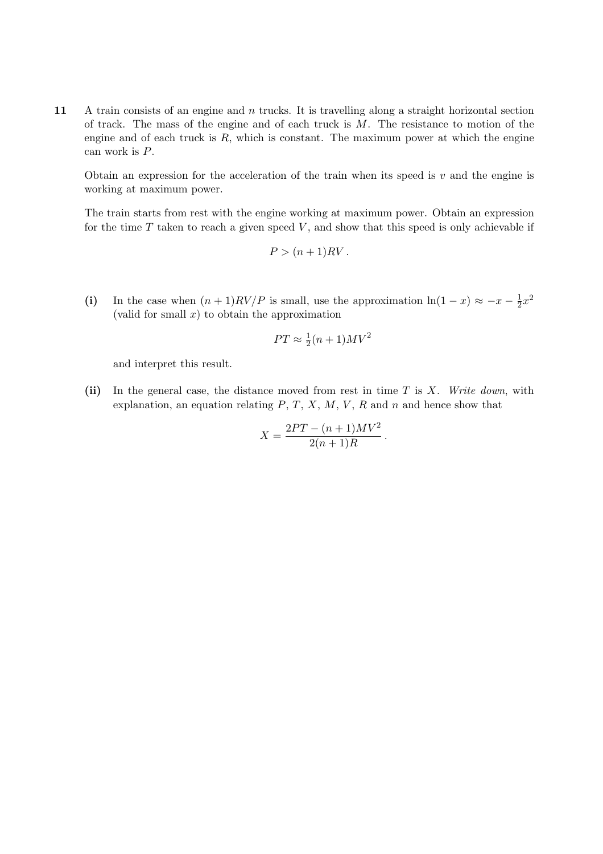11 A train consists of an engine and n trucks. It is travelling along a straight horizontal section of track. The mass of the engine and of each truck is  $M$ . The resistance to motion of the engine and of each truck is  $R$ , which is constant. The maximum power at which the engine can work is P.

Obtain an expression for the acceleration of the train when its speed is  $v$  and the engine is working at maximum power.

The train starts from rest with the engine working at maximum power. Obtain an expression for the time  $T$  taken to reach a given speed  $V$ , and show that this speed is only achievable if

$$
P > (n+1)RV.
$$

(i) In the case when  $(n+1)RV/P$  is small, use the approximation  $\ln(1-x) \approx -x - \frac{1}{2}$  $rac{1}{2}x^2$ (valid for small  $x$ ) to obtain the approximation

$$
PT \approx \frac{1}{2}(n+1)MV^2
$$

and interpret this result.

(ii) In the general case, the distance moved from rest in time  $T$  is  $X$ . Write down, with explanation, an equation relating  $P, T, X, M, V, R$  and n and hence show that

$$
X = \frac{2PT - (n+1)MV^2}{2(n+1)R}.
$$